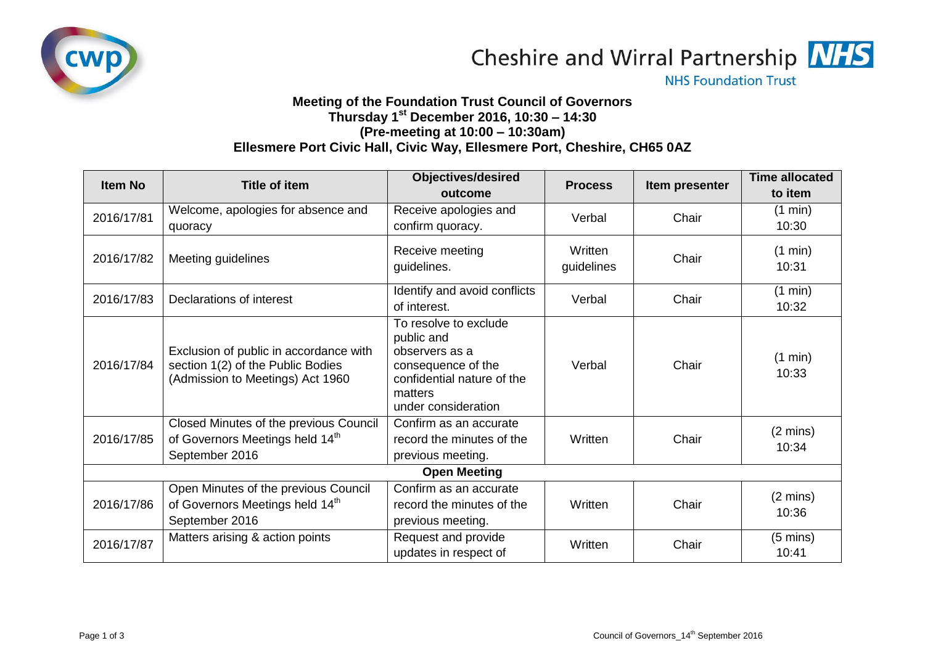



**NHS Foundation Trust** 

## **Meeting of the Foundation Trust Council of Governors Thursday 1st December 2016, 10:30 – 14:30 (Pre-meeting at 10:00 – 10:30am) Ellesmere Port Civic Hall, Civic Way, Ellesmere Port, Cheshire, CH65 0AZ**

| <b>Item No</b>      | <b>Title of item</b>                                                                                            | <b>Objectives/desired</b>                                                                                                                   | <b>Process</b>        | Item presenter | <b>Time allocated</b>       |  |  |
|---------------------|-----------------------------------------------------------------------------------------------------------------|---------------------------------------------------------------------------------------------------------------------------------------------|-----------------------|----------------|-----------------------------|--|--|
| 2016/17/81          | Welcome, apologies for absence and<br>quoracy                                                                   | outcome<br>Receive apologies and<br>confirm quoracy.                                                                                        | Verbal                | Chair          | to item<br>(1 min)<br>10:30 |  |  |
| 2016/17/82          | Meeting guidelines                                                                                              | Receive meeting<br>guidelines.                                                                                                              | Written<br>guidelines | Chair          | (1 min)<br>10:31            |  |  |
| 2016/17/83          | Declarations of interest                                                                                        | Identify and avoid conflicts<br>of interest.                                                                                                | Verbal                | Chair          | (1 min)<br>10:32            |  |  |
| 2016/17/84          | Exclusion of public in accordance with<br>section 1(2) of the Public Bodies<br>(Admission to Meetings) Act 1960 | To resolve to exclude<br>public and<br>observers as a<br>consequence of the<br>confidential nature of the<br>matters<br>under consideration | Verbal                | Chair          | (1 min)<br>10:33            |  |  |
| 2016/17/85          | Closed Minutes of the previous Council<br>of Governors Meetings held 14th<br>September 2016                     | Confirm as an accurate<br>record the minutes of the<br>previous meeting.                                                                    | Written               | Chair          | $(2 \text{ mins})$<br>10:34 |  |  |
| <b>Open Meeting</b> |                                                                                                                 |                                                                                                                                             |                       |                |                             |  |  |
| 2016/17/86          | Open Minutes of the previous Council<br>of Governors Meetings held 14th<br>September 2016                       | Confirm as an accurate<br>record the minutes of the<br>previous meeting.                                                                    | Written               | Chair          | $(2 \text{ mins})$<br>10:36 |  |  |
| 2016/17/87          | Matters arising & action points                                                                                 | Request and provide<br>updates in respect of                                                                                                | Written               | Chair          | $(5 \text{ mins})$<br>10:41 |  |  |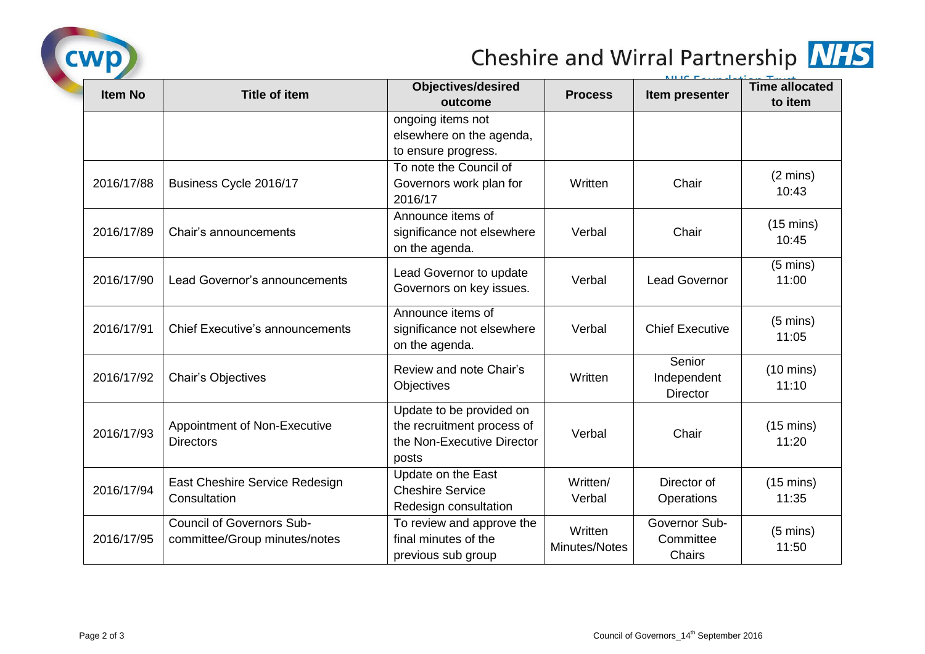

## Cheshire and Wirral Partnership MHS

| <b>Item No</b> | <b>Title of item</b>                                              | <b>Objectives/desired</b>  | <b>Process</b>           | NILIC <sub>E</sub><br>Item presenter | <b>Time allocated</b>        |
|----------------|-------------------------------------------------------------------|----------------------------|--------------------------|--------------------------------------|------------------------------|
|                |                                                                   | outcome                    |                          |                                      | to item                      |
|                |                                                                   | ongoing items not          |                          |                                      |                              |
|                |                                                                   | elsewhere on the agenda,   |                          |                                      |                              |
|                |                                                                   | to ensure progress.        |                          |                                      |                              |
| 2016/17/88     | Business Cycle 2016/17                                            | To note the Council of     | Written                  | Chair                                | $(2 \text{ mins})$           |
|                |                                                                   | Governors work plan for    |                          |                                      | 10:43                        |
|                |                                                                   | 2016/17                    |                          |                                      |                              |
| 2016/17/89     | Chair's announcements                                             | Announce items of          | Verbal                   | Chair                                | $(15 \text{ mins})$          |
|                |                                                                   | significance not elsewhere |                          |                                      | 10:45                        |
|                |                                                                   | on the agenda.             |                          |                                      |                              |
|                | Lead Governor's announcements                                     | Lead Governor to update    | Verbal                   | <b>Lead Governor</b>                 | $(5 \text{ mins})$           |
| 2016/17/90     |                                                                   | Governors on key issues.   |                          |                                      | 11:00                        |
|                |                                                                   |                            |                          |                                      |                              |
| 2016/17/91     | <b>Chief Executive's announcements</b>                            | Announce items of          | Verbal                   | <b>Chief Executive</b>               | $(5 \text{ mins})$           |
|                |                                                                   | significance not elsewhere |                          |                                      | 11:05                        |
|                |                                                                   | on the agenda.             |                          |                                      |                              |
|                | <b>Chair's Objectives</b>                                         | Review and note Chair's    | Written                  | Senior                               | $(10 \text{ mins})$<br>11:10 |
| 2016/17/92     |                                                                   | Objectives                 |                          | Independent                          |                              |
|                |                                                                   |                            |                          | <b>Director</b>                      |                              |
| 2016/17/93     | Appointment of Non-Executive<br><b>Directors</b>                  | Update to be provided on   | Verbal                   | Chair                                | $(15 \text{ mins})$<br>11:20 |
|                |                                                                   | the recruitment process of |                          |                                      |                              |
|                |                                                                   | the Non-Executive Director |                          |                                      |                              |
|                |                                                                   | posts                      |                          |                                      |                              |
| 2016/17/94     | East Cheshire Service Redesign<br>Consultation                    | Update on the East         | Written/<br>Verbal       | Director of                          | $(15 \text{ mins})$          |
|                |                                                                   | <b>Cheshire Service</b>    |                          | Operations                           | 11:35                        |
|                |                                                                   | Redesign consultation      |                          |                                      |                              |
| 2016/17/95     | <b>Council of Governors Sub-</b><br>committee/Group minutes/notes | To review and approve the  | Written<br>Minutes/Notes | Governor Sub-<br>Committee<br>Chairs | $(5 \text{ mins})$           |
|                |                                                                   | final minutes of the       |                          |                                      | 11:50                        |
|                |                                                                   | previous sub group         |                          |                                      |                              |